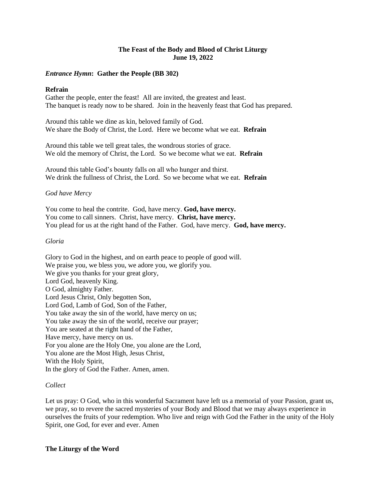# **The Feast of the Body and Blood of Christ Liturgy June 19, 2022**

# *Entrance Hymn***: Gather the People (BB 302)**

# **Refrain**

Gather the people, enter the feast! All are invited, the greatest and least. The banquet is ready now to be shared. Join in the heavenly feast that God has prepared.

Around this table we dine as kin, beloved family of God. We share the Body of Christ, the Lord. Here we become what we eat. **Refrain**

Around this table we tell great tales, the wondrous stories of grace. We old the memory of Christ, the Lord. So we become what we eat. **Refrain**

Around this table God's bounty falls on all who hunger and thirst. We drink the fullness of Christ, the Lord. So we become what we eat. **Refrain**

# *God have Mercy*

You come to heal the contrite. God, have mercy. **God, have mercy.** You come to call sinners. Christ, have mercy. **Christ, have mercy.** You plead for us at the right hand of the Father. God, have mercy. **God, have mercy.**

### *Gloria*

Glory to God in the highest, and on earth peace to people of good will. We praise you, we bless you, we adore you, we glorify you. We give you thanks for your great glory, Lord God, heavenly King. O God, almighty Father. Lord Jesus Christ, Only begotten Son, Lord God, Lamb of God, Son of the Father, You take away the sin of the world, have mercy on us; You take away the sin of the world, receive our prayer; You are seated at the right hand of the Father, Have mercy, have mercy on us. For you alone are the Holy One, you alone are the Lord, You alone are the Most High, Jesus Christ, With the Holy Spirit, In the glory of God the Father. Amen, amen.

# *Collect*

Let us pray: O God, who in this wonderful Sacrament have left us a memorial of your Passion, grant us, we pray, so to revere the sacred mysteries of your Body and Blood that we may always experience in ourselves the fruits of your redemption. Who live and reign with God the Father in the unity of the Holy Spirit, one God, for ever and ever. Amen

#### **The Liturgy of the Word**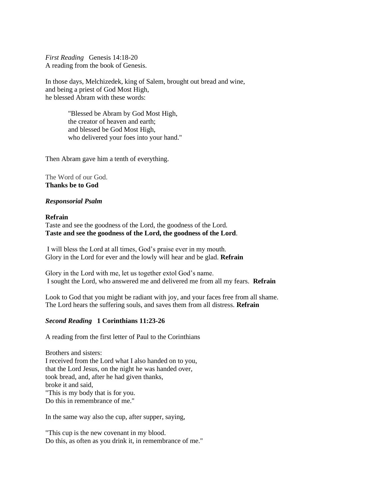*First Reading* Genesis 14:18-20 A reading from the book of Genesis.

In those days, Melchizedek, king of Salem, brought out bread and wine, and being a priest of God Most High, he blessed Abram with these words:

> "Blessed be Abram by God Most High, the creator of heaven and earth; and blessed be God Most High, who delivered your foes into your hand."

Then Abram gave him a tenth of everything.

The Word of our God. **Thanks be to God**

### *Responsorial Psalm*

### **Refrain**

Taste and see the goodness of the Lord, the goodness of the Lord. **Taste and see the goodness of the Lord, the goodness of the Lord**.

I will bless the Lord at all times, God's praise ever in my mouth. Glory in the Lord for ever and the lowly will hear and be glad. **Refrain**

Glory in the Lord with me, let us together extol God's name. I sought the Lord, who answered me and delivered me from all my fears. **Refrain**

Look to God that you might be radiant with joy, and your faces free from all shame. The Lord hears the suffering souls, and saves them from all distress. **Refrain**

# *Second Reading* **1 Corinthians 11:23-26**

A reading from the first letter of Paul to the Corinthians

Brothers and sisters: I received from the Lord what I also handed on to you, that the Lord Jesus, on the night he was handed over, took bread, and, after he had given thanks, broke it and said, "This is my body that is for you. Do this in remembrance of me."

In the same way also the cup, after supper, saying,

"This cup is the new covenant in my blood. Do this, as often as you drink it, in remembrance of me."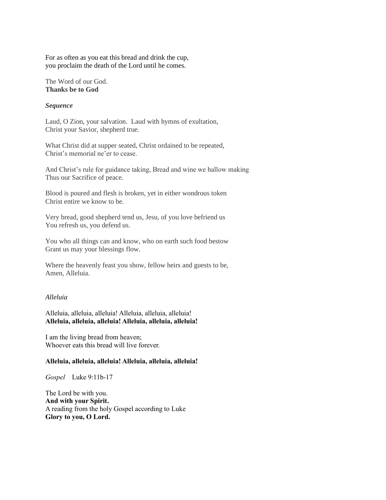For as often as you eat this bread and drink the cup, you proclaim the death of the Lord until he comes.

The Word of our God. **Thanks be to God**

#### *Sequence*

Laud, O Zion, your salvation. Laud with hymns of exultation, Christ your Savior, shepherd true.

What Christ did at supper seated, Christ ordained to be repeated, Christ's memorial ne'er to cease.

And Christ's rule for guidance taking, Bread and wine we hallow making Thus our Sacrifice of peace.

Blood is poured and flesh is broken, yet in either wondrous token Christ entire we know to be.

Very bread, good shepherd tend us, Jesu, of you love befriend us You refresh us, you defend us.

You who all things can and know, who on earth such food bestow Grant us may your blessings flow.

Where the heavenly feast you show, fellow heirs and guests to be, Amen, Alleluia.

### *Alleluia*

Alleluia, alleluia, alleluia! Alleluia, alleluia, alleluia! **Alleluia, alleluia, alleluia! Alleluia, alleluia, alleluia!**

I am the living bread from heaven; Whoever eats this bread will live forever.

### **Alleluia, alleluia, alleluia! Alleluia, alleluia, alleluia!**

*Gospel* Luke 9:11b-17

The Lord be with you. **And with your Spirit.** A reading from the holy Gospel according to Luke **Glory to you, O Lord.**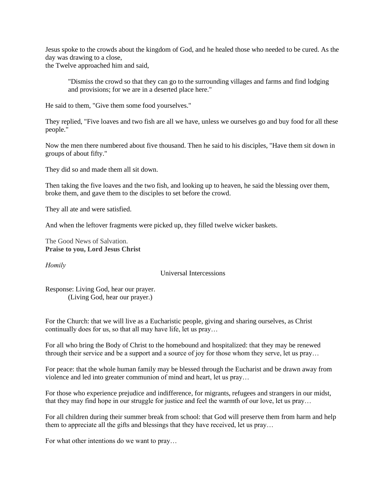Jesus spoke to the crowds about the kingdom of God, and he healed those who needed to be cured. As the day was drawing to a close,

the Twelve approached him and said,

"Dismiss the crowd so that they can go to the surrounding villages and farms and find lodging and provisions; for we are in a deserted place here."

He said to them, "Give them some food yourselves."

They replied, "Five loaves and two fish are all we have, unless we ourselves go and buy food for all these people."

Now the men there numbered about five thousand. Then he said to his disciples, "Have them sit down in groups of about fifty."

They did so and made them all sit down.

Then taking the five loaves and the two fish, and looking up to heaven, he said the blessing over them, broke them, and gave them to the disciples to set before the crowd.

They all ate and were satisfied.

And when the leftover fragments were picked up, they filled twelve wicker baskets.

The Good News of Salvation. **Praise to you, Lord Jesus Christ**

*Homily*

Universal Intercessions

Response: Living God, hear our prayer. (Living God, hear our prayer.)

For the Church: that we will live as a Eucharistic people, giving and sharing ourselves, as Christ continually does for us, so that all may have life, let us pray…

For all who bring the Body of Christ to the homebound and hospitalized: that they may be renewed through their service and be a support and a source of joy for those whom they serve, let us pray…

For peace: that the whole human family may be blessed through the Eucharist and be drawn away from violence and led into greater communion of mind and heart, let us pray…

For those who experience prejudice and indifference, for migrants, refugees and strangers in our midst, that they may find hope in our struggle for justice and feel the warmth of our love, let us pray…

For all children during their summer break from school: that God will preserve them from harm and help them to appreciate all the gifts and blessings that they have received, let us pray…

For what other intentions do we want to pray…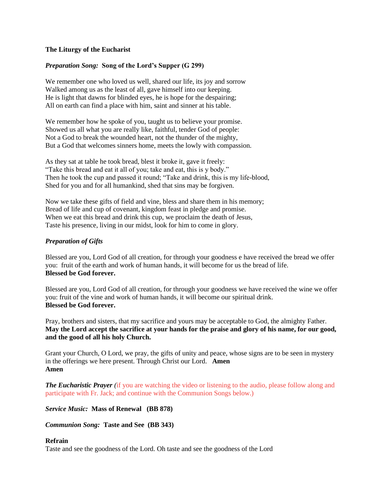### **The Liturgy of the Eucharist**

### *Preparation Song:* **Song of the Lord's Supper (G 299)**

We remember one who loved us well, shared our life, its joy and sorrow Walked among us as the least of all, gave himself into our keeping. He is light that dawns for blinded eyes, he is hope for the despairing; All on earth can find a place with him, saint and sinner at his table.

We remember how he spoke of you, taught us to believe your promise. Showed us all what you are really like, faithful, tender God of people: Not a God to break the wounded heart, not the thunder of the mighty, But a God that welcomes sinners home, meets the lowly with compassion.

As they sat at table he took bread, blest it broke it, gave it freely: "Take this bread and eat it all of you; take and eat, this is y body." Then he took the cup and passed it round; "Take and drink, this is my life-blood, Shed for you and for all humankind, shed that sins may be forgiven.

Now we take these gifts of field and vine, bless and share them in his memory; Bread of life and cup of covenant, kingdom feast in pledge and promise. When we eat this bread and drink this cup, we proclaim the death of Jesus, Taste his presence, living in our midst, look for him to come in glory.

### *Preparation of Gifts*

Blessed are you, Lord God of all creation, for through your goodness e have received the bread we offer you: fruit of the earth and work of human hands, it will become for us the bread of life. **Blessed be God forever.**

Blessed are you, Lord God of all creation, for through your goodness we have received the wine we offer you: fruit of the vine and work of human hands, it will become our spiritual drink. **Blessed be God forever.**

Pray, brothers and sisters, that my sacrifice and yours may be acceptable to God, the almighty Father. **May the Lord accept the sacrifice at your hands for the praise and glory of his name, for our good, and the good of all his holy Church.**

Grant your Church, O Lord, we pray, the gifts of unity and peace, whose signs are to be seen in mystery in the offerings we here present. Through Christ our Lord. **Amen Amen**

*The Eucharistic Prayer* (if you are watching the video or listening to the audio, please follow along and participate with Fr. Jack; and continue with the Communion Songs below.)

*Service Music:* **Mass of Renewal (BB 878)**

*Communion Song:* **Taste and See (BB 343)**

### **Refrain**

Taste and see the goodness of the Lord. Oh taste and see the goodness of the Lord